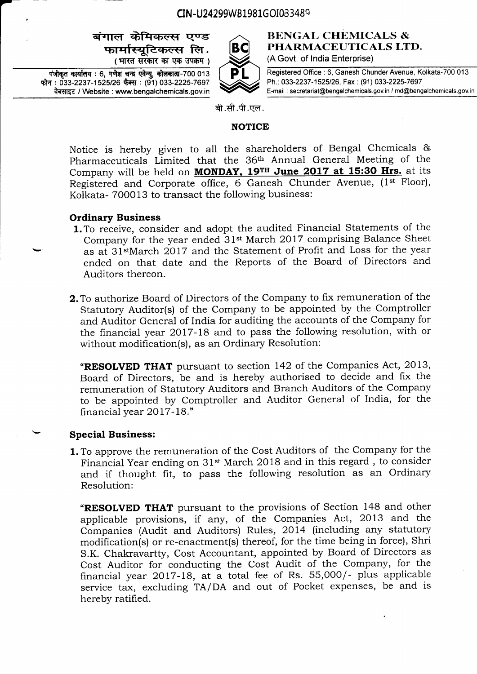# CIN-U24299WB1981GOI033489

# बंगाल केमिकल्स एण्ड<br>- फार्मास्यटिकल्स लि (भारत सरकार का एक उपक्रम)





#### **BENGAL CHEMICALS &** PHARMACEUTICALS LTD. (A Govt. of India Enterprise)

Registered Office : 6, Ganesh Chunder Avenue, Kolkata-7OO 013 Ph.: 033-2237-1525126, Fax : (91) 033-2225-7697 E-mail : secretariat@bengalchemicals.gov.in / md@bengalchemicals.gov.in

बी.सी.पी.एल.

#### NOTICE

Notice is hereby given to alt the shareholders of Bengal Chemicals & Pharmaceuticals Limited that the 36th Annual General Meeting of the Company will be held on **MONDAY, 19TH June 2017 at 15:30 Hrs.** at its Registered and Corporate office, 6 Ganesh Chunder Avenue, (1<sup>st</sup> Floor), Kolkata- 700013 to transact the following business:

# Ordinary Business

- 1.To receive, consider and adopt the audited Financial Statements of the Company for the year ended 3lst March 2017 comprising Balance Sheet as at 31<sup>st</sup>March 2017 and the Statement of Profit and Loss for the year ended on that date and the Reports of the Board of Directors and Auditors thereon.
- 2.To authorize Board of Directors of the Company to fix remuneration of the Statutory Auditor(s) of the Company to be appointed by the Comptroller and Auditor General of India for auditing the accounts of the Company for the financial year 2Ol7-18 and to pass the following resolution, with or without modification(s), as an Ordinary Resolution:

"RESOLVED THAT pursuant to section 142 of the Companies Act, 2013, Board of Directors, be and is hereby authorised to decide and fix the remuneration of Statutory Auditors and Branch Auditors of the Company to be appointed by Comptroller and Auditor General of India, for the financial year 2017-18."

#### Special Business:

1.To approve the remuneration of the Cost Auditors of the Company for the Financial Year ending on 31st March 2018 and in this regard, to consider and if thought fit, to pass the following resolution as an Ordinary Resolution:

"RESOLVED THAT pursuant to the provisions of Section 148 and other applicable provisions, if any, of the Companies Act, 2013 and the Companies (Audit and Auditors) Rules, 2Ol4 (including any statutory modification(s) or re-enactment(s) thereof, for the time being in force), Shri S.K. Chakravartty, Cost Accountant, appointed by Board of Directors as Cost Auditor for conducting the Cost Audit of the Company, for the financial year 2017-18, at a total fee of Rs. 55,000/- plus applicable service tax, excluding TA/DA and out of Pocket expenses, be and is hereby ratified.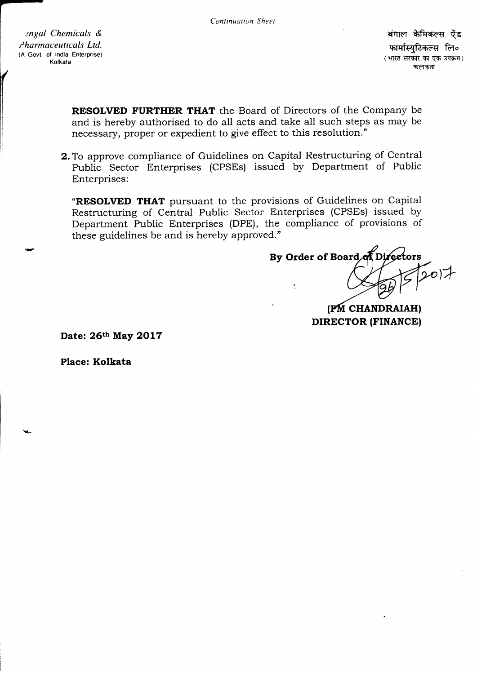ngal Chemicals & Pharmaceuticals Ltd. (A Govt. of lndia Enterprise)

(

I I

बंगाल केमिकल्स ऐंड फार्मास्यटिकल्स लि० (भारत सरकार का एक उपक्रम) कलकता

RESOLVED FURTHER THAT the Board of Directors of the Company be and is hereby authorised to do all acts and take all such steps as may be necessary, proper or expedient to give effect to this resolution."

2.To approve compliance of Guidelines on Capital Restructuring of Centrai Public Sector Enterprises (CPSEs) issued by Department of Public Enterprises:

"RESOLVED THAT pursuant to the provisions of Guidelines on Capital Restructuring of Central Public Sector Enterprises (CPSEs) issued by Department Public Enterprises (DPE), the compliance of provisions of these guidelines be and is hereby approved."

 $(207)$ By Order of Board of Directors

(PM CHANDRAIAH) DIRECTOR (FINANCE)

Date: 26th May 2017

Place: Kolkata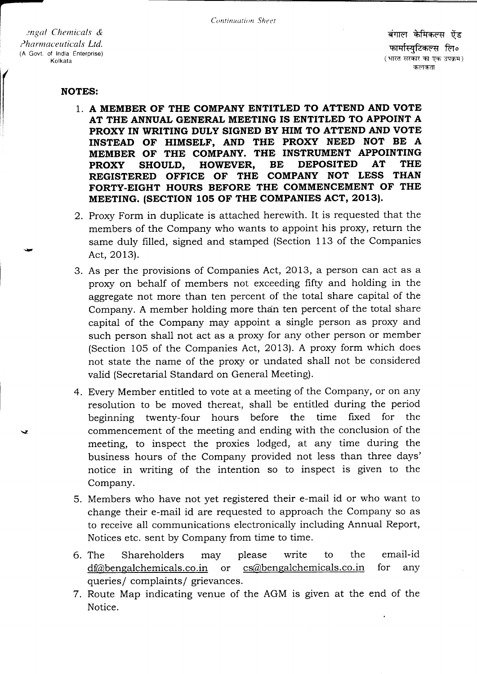engal Chemicals & Pharmaceuticals Ltd. (A Govt. of India Enterprise) Kolkata

**NOTES:** 

- 1. A MEMBER OF THE COMPANY ENTITLED TO ATTEND AND VOTE AT THE ANNUAL GENERAL MEETING IS ENTITLED TO APPOINT A PROXY IN WRITING DULY SIGNED BY HIM TO ATTEND AND VOTE INSTEAD OF HIMSELF, AND THE PROXY NEED NOT BE A MEMBER OF THE COMPANY. THE INSTRUMENT APPOINTING **DEPOSITED AT THE** SHOULD, HOWEVER, **BE PROXY** REGISTERED OFFICE OF THE COMPANY NOT LESS THAN FORTY-EIGHT HOURS BEFORE THE COMMENCEMENT OF THE MEETING. (SECTION 105 OF THE COMPANIES ACT, 2013).
- 2. Proxy Form in duplicate is attached herewith. It is requested that the members of the Company who wants to appoint his proxy, return the same duly filled, signed and stamped (Section 113 of the Companies Act, 2013).
- 3. As per the provisions of Companies Act, 2013, a person can act as a proxy on behalf of members not exceeding fifty and holding in the aggregate not more than ten percent of the total share capital of the Company. A member holding more than ten percent of the total share capital of the Company may appoint a single person as proxy and such person shall not act as a proxy for any other person or member (Section 105 of the Companies Act, 2013). A proxy form which does not state the name of the proxy or undated shall not be considered valid (Secretarial Standard on General Meeting).
- 4. Every Member entitled to vote at a meeting of the Company, or on any resolution to be moved thereat, shall be entitled during the period twenty-four hours before the time fixed for the beginning commencement of the meeting and ending with the conclusion of the meeting, to inspect the proxies lodged, at any time during the business hours of the Company provided not less than three days' notice in writing of the intention so to inspect is given to the Company.
- 5. Members who have not yet registered their e-mail id or who want to change their e-mail id are requested to approach the Company so as to receive all communications electronically including Annual Report, Notices etc. sent by Company from time to time.
- the email-id 6. The Shareholders please write to may cs@bengalchemicals.co.in df@bengalchemicals.co.in **or** for any queries/ complaints/ grievances.
- 7. Route Map indicating venue of the AGM is given at the end of the Notice.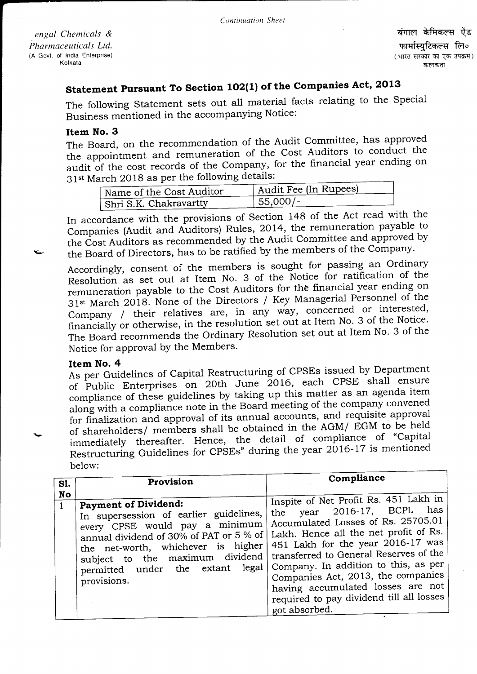engal Chemicals & Pharmaceuticals Ltd. (A Govt. of India Enterprise) Kolkata

# Statement Pursuant To Section 102(1) of the Companies Act, 2013

The following statement sets out all material facts relating to the Special Business mentioned in the accompanying Notice:

### Item No. 3

The Board, on the recommendation of the Audit Committee, has approved The Board, on the recommendation of the Frame Auditors to conduct the<br>the appointment and remuneration of the Cost Auditors to conduct the audit of the cost records of the Company, for the financial year ending on 31<sup>st</sup> March 2018 as per the following details:

| Name of the Cost Auditor | Audit Fee (In Rupees) |
|--------------------------|-----------------------|
| Shri S.K. Chakravartty   | $55,000/-$            |

In accordance with the provisions of Section 148 of the Act read with the In accordance with the previously rules, 2014, the remuneration payable to<br>Companies (Audit and Auditors) Rules, 2014, the remuneration payable to the Cost Auditors as recommended by the Audit Committee and approved by the Board of Directors, has to be ratified by the members of the Company.

Accordingly, consent of the members is sought for passing an ordinary Resolution as set out at Item No. 3 of the Notice for ratification of the remuneration payable to the Cost Auditors for the financial year ending on 31<sup>st</sup> March 2018. None of the Directors / Key Managerial Personnel of the Company / their relatives are, in any way, concerned or interested, financially or otherwise, in the resolution set out at Item No. 3 of the Notice. The Board recommends the Ordinary Resolution set out at Item No. 3 of the Notice for approval by the Members.

# Item No. 4

As per Guidelines of Capital Restructuring of CPSEs issued by Department of Public Enterprises on 20th June 2016, each CPSE shall ensure compliance of these guidelines by taking up this matter as an agenda item along with a compliance note in the Board meeting of the company convened along with a complement of the annual accounts, and requisite<br>for finalization and approval of its annual accounts, and requisite for inalization and approval of its almadi accounts, and in the Tries.<br>of shareholders/ members shall be obtained in the AGM/ EGM to be held immediately thereafter. Hence, the detail of compliance of "Capital Restructuring Guidelines for CPSEs" during the year 2016-17 is mentioned below:

| SI.                       | Provision                                                                                                                                                                                                                                                                                                        | Compliance                                                                                                                                                                                                                                                                                                                                                                          |
|---------------------------|------------------------------------------------------------------------------------------------------------------------------------------------------------------------------------------------------------------------------------------------------------------------------------------------------------------|-------------------------------------------------------------------------------------------------------------------------------------------------------------------------------------------------------------------------------------------------------------------------------------------------------------------------------------------------------------------------------------|
| <b>No</b><br>$\mathbf{1}$ | <b>Payment of Dividend:</b><br>In supersession of earlier guidelines,<br>every CPSE would pay a minimum<br>annual dividend of 30% of PAT or 5 % of   Lakh. Hence all the net profit of Rs.<br>the net-worth, whichever is higher<br>subject to the maximum dividend<br>permitted under the extant<br>provisions. | Inspite of Net Profit Rs. 451 Lakh in<br>has<br>the year 2016-17, BCPL<br>Accumulated Losses of Rs. 25705.01<br>451 Lakh for the year 2016-17 was<br>transferred to General Reserves of the<br>legal   Company. In addition to this, as per<br>Companies Act, 2013, the companies<br>having accumulated losses are not<br>required to pay dividend till all losses<br>got absorbed. |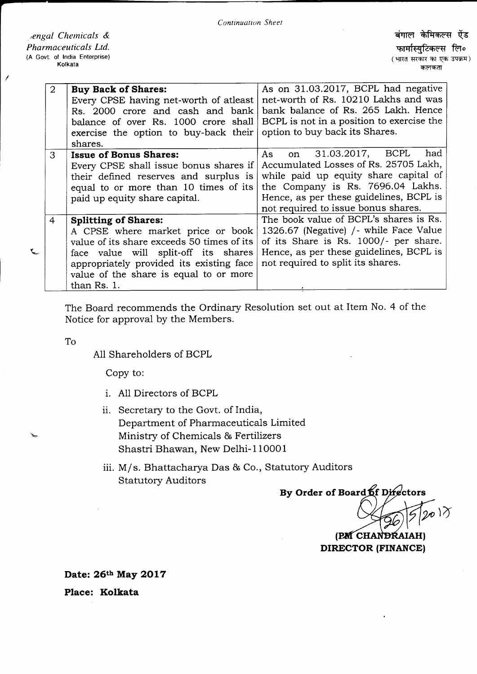engal Chemicals & Pharmaceuticals Ltd. (A Govt. of India Enterprise) Kolkata

| 2 | <b>Buy Back of Shares:</b><br>Every CPSE having net-worth of atleast<br>Rs. 2000 crore and cash and bank<br>balance of over Rs. 1000 crore shall<br>exercise the option to buy-back their<br>shares.                                                        | As on 31.03.2017, BCPL had negative<br>net-worth of Rs. 10210 Lakhs and was<br>bank balance of Rs. 265 Lakh. Hence<br>BCPL is not in a position to exercise the<br>option to buy back its Shares.                                         |
|---|-------------------------------------------------------------------------------------------------------------------------------------------------------------------------------------------------------------------------------------------------------------|-------------------------------------------------------------------------------------------------------------------------------------------------------------------------------------------------------------------------------------------|
| 3 | <b>Issue of Bonus Shares:</b><br>Every CPSE shall issue bonus shares if<br>their defined reserves and surplus is<br>equal to or more than 10 times of its<br>paid up equity share capital.                                                                  | on 31.03.2017, BCPL<br>had<br>As<br>Accumulated Losses of Rs. 25705 Lakh,<br>while paid up equity share capital of<br>the Company is Rs. 7696.04 Lakhs.<br>Hence, as per these guidelines, BCPL is<br>not required to issue bonus shares. |
| 4 | <b>Splitting of Shares:</b><br>A CPSE where market price or book<br>value of its share exceeds 50 times of its<br>face value will split-off its shares<br>appropriately provided its existing face<br>value of the share is equal to or more<br>than Rs. 1. | The book value of BCPL's shares is Rs.<br>1326.67 (Negative) / while Face Value<br>of its Share is Rs. 1000/- per share.<br>Hence, as per these guidelines, BCPL is<br>not required to split its shares.                                  |

The Board recommends the Ordinary Resolution set out at Item No. 4 of the Notice for approval by the Members.

To

╰

All Shareholders of BCPL

Copy to:

- i. A11 Directors of BCPL
- ii. Secretary to the Govt. of India, Department of Pharmaceuticals Limited Ministry of Chemicals & Fertilizers Shastri Bhawan, New Delhi-1100O1
- iii. M/s. Bhattacharya Das & Co., Statutory Auditors Statutory Auditors

By Order of Board of Difectors

 $_{\varpi}$  )  $\chi$ 

(PM CHANDRAIAH) DIRECTOR (FINANCE)

Date: 26th May 2017 Place: Kolkata